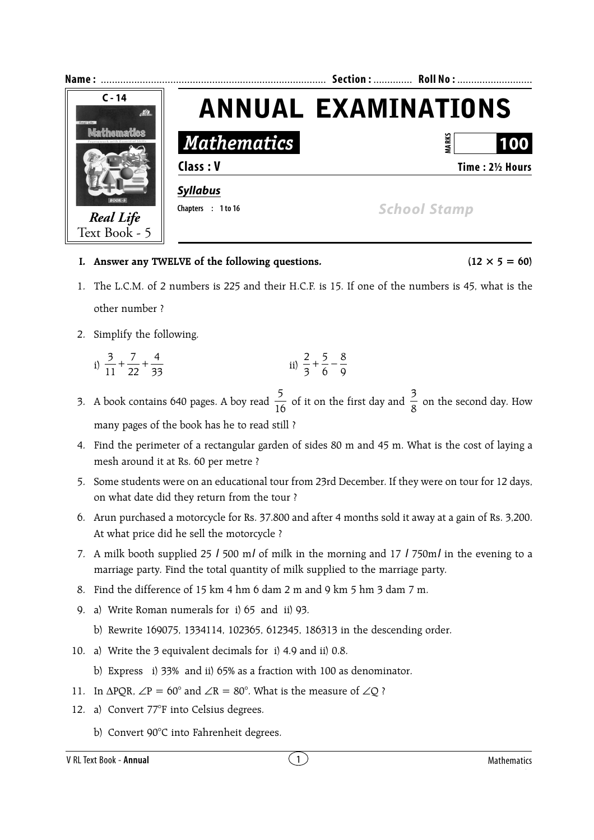

- **I.** Answer any TWELVE of the following questions.  $(12 \times 5 = 60)$
- 1. The L.C.M. of 2 numbers is 225 and their H.C.F. is 15. If one of the numbers is 45, what is the other number ?
- 2. Simplify the following.

i) 
$$
\frac{3}{11} + \frac{7}{22} + \frac{4}{33}
$$
 ii)  $\frac{2}{3} + \frac{5}{6} - \frac{8}{9}$ 

- 3. A book contains 640 pages. A boy read  $\frac{5}{16}$  of it on the first day and  $\frac{3}{8}$  on the second day. How many pages of the book has he to read still ?
- 4. Find the perimeter of a rectangular garden of sides 80 m and 45 m. What is the cost of laying a mesh around it at Rs. 60 per metre ?
- 5. Some students were on an educational tour from 23rd December. If they were on tour for 12 days, on what date did they return from the tour ?
- 6. Arun purchased a motorcycle for Rs. 37.800 and after 4 months sold it away at a gain of Rs. 3,200. At what price did he sell the motorcycle ?
- 7. A milk booth supplied 25 *l* 500 m*l* of milk in the morning and 17 *l* 750m*l* in the evening to a marriage party. Find the total quantity of milk supplied to the marriage party.
- 8. Find the difference of 15 km 4 hm 6 dam 2 m and 9 km 5 hm 3 dam 7 m.
- 9. a) Write Roman numerals for i) 65 and ii) 93.
	- b) Rewrite 169075, 1334114, 102365, 612345, 186313 in the descending order.
- 10. a) Write the 3 equivalent decimals for i) 4.9 and ii) 0.8.
	- b) Express i) 33% and ii) 65% as a fraction with 100 as denominator.
- 11. In ΔPQR, ∠P = 60° and ∠R = 80°. What is the measure of ∠Q ?
- 12. a) Convert 77°F into Celsius degrees.
	- b) Convert 90°C into Fahrenheit degrees.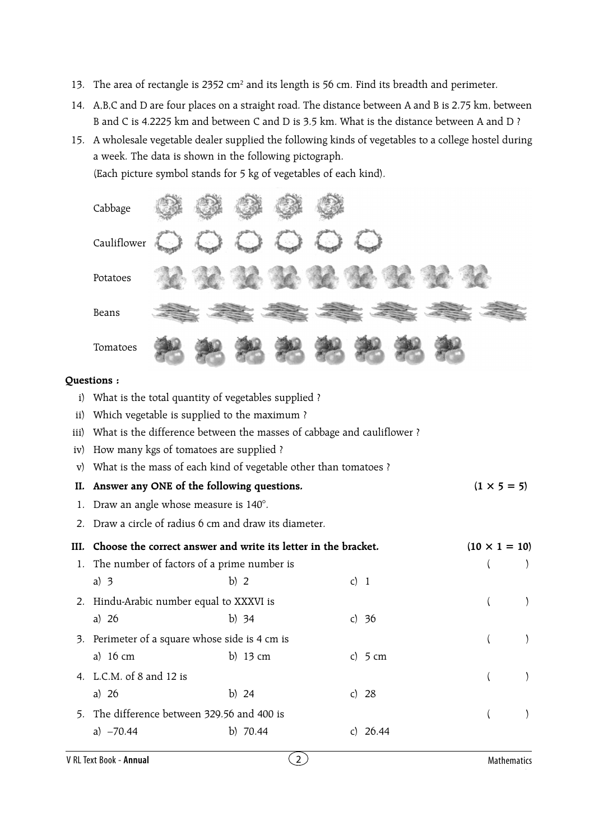- 13. The area of rectangle is 2352 cm<sup>2</sup> and its length is 56 cm. Find its breadth and perimeter.
- 14. A,B,C and D are four places on a straight road. The distance between A and B is 2.75 km, between B and C is 4.2225 km and between C and D is 3.5 km. What is the distance between A and D ?
- 15. A wholesale vegetable dealer supplied the following kinds of vegetables to a college hostel during a week. The data is shown in the following pictograph. (Each picture symbol stands for 5 kg of vegetables of each kind).

Cabbage



#### **Questions :**

- i) What is the total quantity of vegetables supplied ?
- ii) Which vegetable is supplied to the maximum ?
- iii) What is the difference between the masses of cabbage and cauliflower ?
- iv) How many kgs of tomatoes are supplied ?
- v) What is the mass of each kind of vegetable other than tomatoes ?
- **II.** Answer any ONE of the following questions.  $(1 \times 5 = 5)$
- 1. Draw an angle whose measure is 140°.
- 2. Draw a circle of radius 6 cm and draw its diameter.

| III. Choose the correct answer and write its letter in the bracket. |            |                   | $(10 \times 1 = 10)$ |  |
|---------------------------------------------------------------------|------------|-------------------|----------------------|--|
| 1. The number of factors of a prime number is                       |            |                   |                      |  |
| a) $3$                                                              | b) $2$     | $c)$ 1            |                      |  |
| 2. Hindu-Arabic number equal to XXXVI is                            |            |                   |                      |  |
| a) $26$                                                             | b) $34$    | c) $36$           |                      |  |
| 3. Perimeter of a square whose side is 4 cm is                      |            |                   |                      |  |
| a) $16 \text{ cm}$                                                  | b) 13 cm   | c) $5 \text{ cm}$ |                      |  |
| 4. L.C.M. of 8 and 12 is                                            |            |                   |                      |  |
| a) $26$                                                             | b) $24$    | c) $28$           |                      |  |
| 5. The difference between 329.56 and 400 is                         |            |                   |                      |  |
| a) $-70.44$                                                         | b) $70.44$ | 26.44             |                      |  |
|                                                                     |            |                   |                      |  |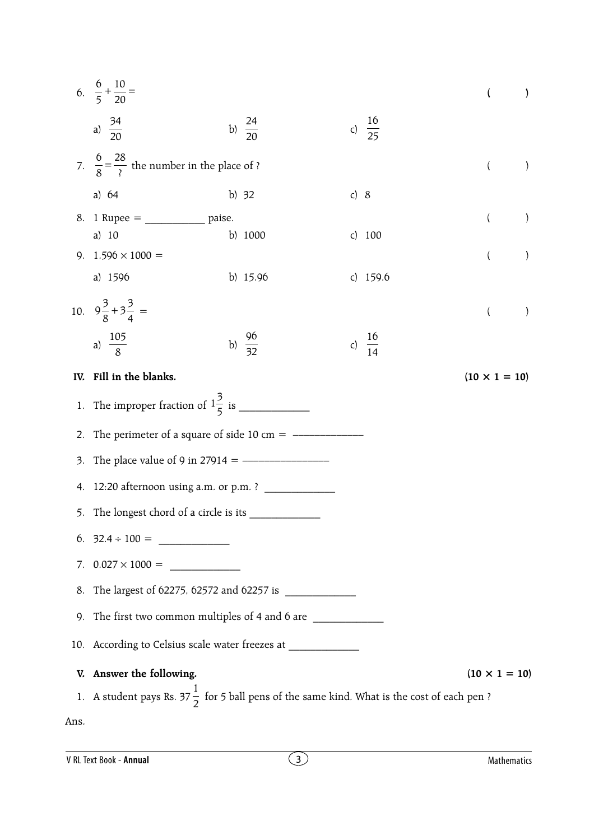|      | 6. $\frac{6}{5} + \frac{10}{20} =$                                                                    |  |                    |        |                    |                          |                      |
|------|-------------------------------------------------------------------------------------------------------|--|--------------------|--------|--------------------|--------------------------|----------------------|
|      | a) $\frac{34}{20}$                                                                                    |  | b) $\frac{24}{20}$ |        | c) $\frac{16}{25}$ |                          |                      |
|      | 7. $\frac{6}{8} = \frac{28}{3}$ the number in the place of ?                                          |  |                    |        |                    | $\left($                 |                      |
|      | a) $64$                                                                                               |  | b) $32$            | c) $8$ |                    |                          |                      |
|      | 8. 1 Rupee = $\frac{ }{ }$ paise.                                                                     |  |                    |        |                    | $\overline{\phantom{a}}$ | $\left( \right)$     |
|      | a) $10$                                                                                               |  | b) 1000            |        | c) $100$           |                          |                      |
|      | 9. $1.596 \times 1000 =$                                                                              |  |                    |        |                    | $\left($                 | $\lambda$            |
|      | a) 1596                                                                                               |  | b) 15.96           |        | c) $159.6$         |                          |                      |
|      | 10. $9\frac{3}{8}+3\frac{3}{4}=$                                                                      |  |                    |        |                    | $\left($                 | $\left( \right)$     |
|      | a) $\frac{105}{8}$                                                                                    |  | b) $\frac{96}{32}$ |        | c) $\frac{16}{14}$ |                          |                      |
| IV.  | Fill in the blanks.                                                                                   |  |                    |        |                    |                          | $(10 \times 1 = 10)$ |
|      |                                                                                                       |  |                    |        |                    |                          |                      |
| 2.   |                                                                                                       |  |                    |        |                    |                          |                      |
| 3.   | The place value of 9 in 27914 = $\frac{27914}{27914}$                                                 |  |                    |        |                    |                          |                      |
| 4.   |                                                                                                       |  |                    |        |                    |                          |                      |
|      | 5. The longest chord of a circle is its                                                               |  |                    |        |                    |                          |                      |
|      | 6. $32.4 \div 100 =$                                                                                  |  |                    |        |                    |                          |                      |
| 7.   | $0.027 \times 1000 =$                                                                                 |  |                    |        |                    |                          |                      |
| 8.   |                                                                                                       |  |                    |        |                    |                          |                      |
| 9.   |                                                                                                       |  |                    |        |                    |                          |                      |
|      | 10. According to Celsius scale water freezes at ________________________________                      |  |                    |        |                    |                          |                      |
|      | V. Answer the following.                                                                              |  |                    |        |                    |                          | $(10 \times 1 = 10)$ |
|      | 1. A student pays Rs. $37\frac{1}{2}$ for 5 ball pens of the same kind. What is the cost of each pen? |  |                    |        |                    |                          |                      |
| Ans. |                                                                                                       |  |                    |        |                    |                          |                      |